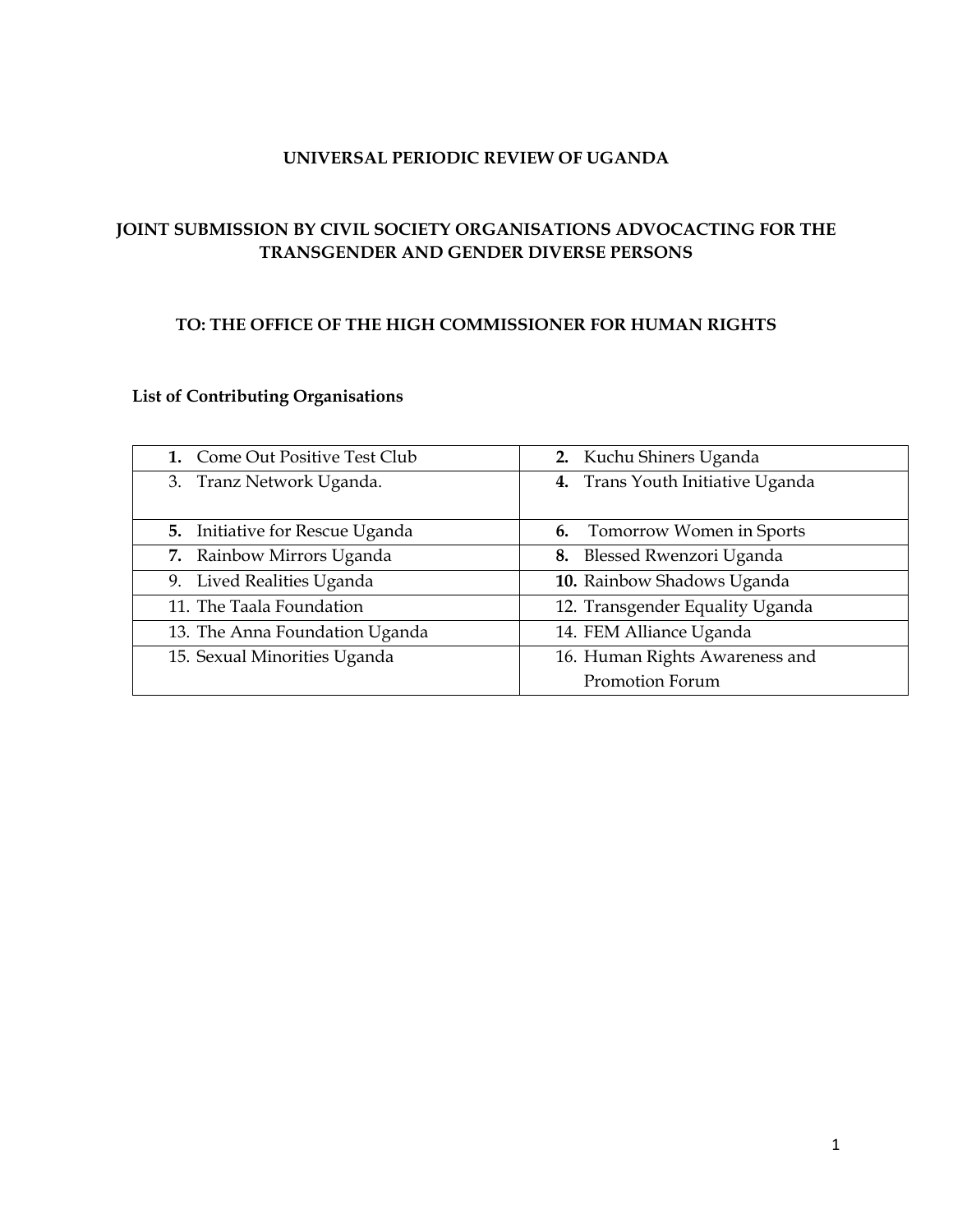### **UNIVERSAL PERIODIC REVIEW OF UGANDA**

# **JOINT SUBMISSION BY CIVIL SOCIETY ORGANISATIONS ADVOCACTING FOR THE TRANSGENDER AND GENDER DIVERSE PERSONS**

#### **TO: THE OFFICE OF THE HIGH COMMISSIONER FOR HUMAN RIGHTS**

# **List of Contributing Organisations**

| 1. Come Out Positive Test Club         | 2. Kuchu Shiners Uganda            |
|----------------------------------------|------------------------------------|
| 3. Tranz Network Uganda.               | 4. Trans Youth Initiative Uganda   |
|                                        |                                    |
| <b>5.</b> Initiative for Rescue Uganda | <b>6.</b> Tomorrow Women in Sports |
| 7. Rainbow Mirrors Uganda              | 8. Blessed Rwenzori Uganda         |
| 9. Lived Realities Uganda              | 10. Rainbow Shadows Uganda         |
| 11. The Taala Foundation               | 12. Transgender Equality Uganda    |
| 13. The Anna Foundation Uganda         | 14. FEM Alliance Uganda            |
| 15. Sexual Minorities Uganda           | 16. Human Rights Awareness and     |
|                                        | Promotion Forum                    |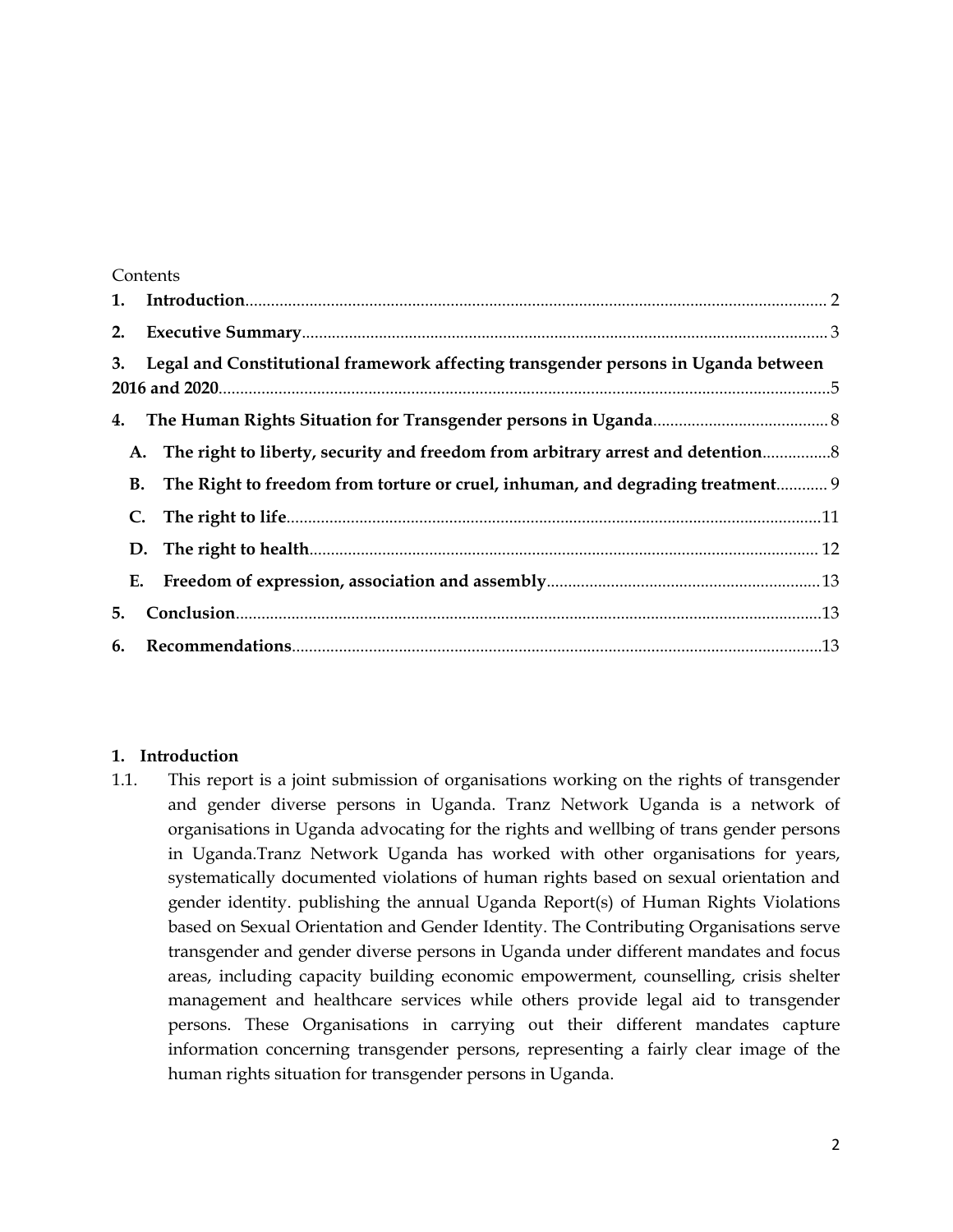#### Contents

|    | 3. Legal and Constitutional framework affecting transgender persons in Uganda between |  |
|----|---------------------------------------------------------------------------------------|--|
|    |                                                                                       |  |
|    | A. The right to liberty, security and freedom from arbitrary arrest and detention     |  |
|    | B. The Right to freedom from torture or cruel, inhuman, and degrading treatment 9     |  |
|    |                                                                                       |  |
|    |                                                                                       |  |
|    |                                                                                       |  |
| 5. |                                                                                       |  |
|    |                                                                                       |  |

### **1. Introduction**

1.1. This repor<sup>t</sup> is <sup>a</sup> joint submission of organisations working on the rights of transgender and gender diverse persons in Uganda. Tranz Network Uganda is <sup>a</sup> network of organisations in Uganda advocating for the rights and wellbing of trans gender persons in Uganda.Tranz Network Uganda has worked with other organisations for years, systematically documented violations of human rights based on sexual orientation and gender identity. publishing the annual Uganda Report(s) of Human Rights Violations based on Sexual Orientation and Gender Identity. The Contributing Organisations serve transgender and gender diverse persons in Uganda under different mandates and focus areas, including capacity building economic empowerment, counselling, crisis shelter managemen<sup>t</sup> and healthcare services while others provide legal aid to transgender persons. These Organisations in carrying out their different mandates capture information concerning transgender persons, representing <sup>a</sup> fairly clear image of the human rights situation for transgender persons in Uganda.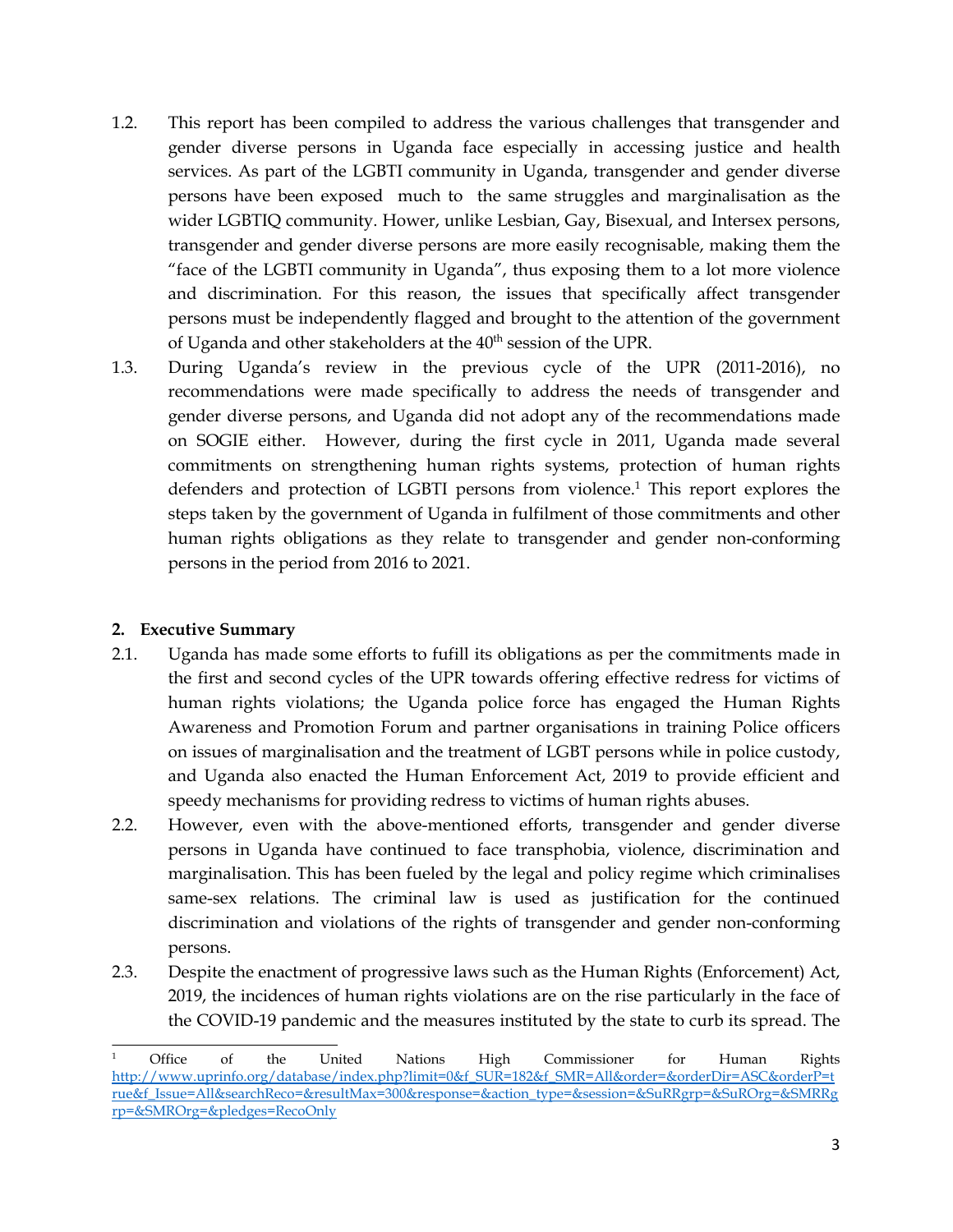- <span id="page-2-0"></span>1.2. This repor<sup>t</sup> has been compiled to address the various challenges that transgender and gender diverse persons in Uganda face especially in accessing justice and health services. As par<sup>t</sup> of the LGBTI community in Uganda, transgender and gender diverse persons have been exposed much to the same struggles and marginalisation as the wider LGBTIQ community. Hower, unlike Lesbian, Gay, Bisexual, and Intersex persons, transgender and gender diverse persons are more easily recognisable, making them the "face of the LGBTI community in Uganda", thus exposing them to <sup>a</sup> lot more violence and discrimination. For this reason, the issues that specifically affect transgender persons must be independently flagged and brought to the attention of the governmen<sup>t</sup> of Uganda and other stakeholders at the  $40^{\rm th}$  session of the UPR.
- 1.3. During Uganda'<sup>s</sup> review in the previous cycle of the UPR (2011-2016), no recommendations were made specifically to address the needs of transgender and gender diverse persons, and Uganda did not adopt any of the recommendations made on SOGIE either. However, during the first cycle in 2011, Uganda made several commitments on strengthening human rights systems, protection of human rights defenders and protection of LGBTI persons from violence. 1 This repor<sup>t</sup> explores the steps taken by the governmen<sup>t</sup> of Uganda in fulfilment of those commitments and other human rights obligations as they relate to transgender and gender non-conforming persons in the period from 2016 to 2021.

### **2. Executive Summary**

- 2.1. Uganda has made some efforts to fufill its obligations as per the commitments made in the first and second cycles of the UPR towards offering effective redress for victims of human rights violations; the Uganda police force has engaged the Human Rights Awareness and Promotion Forum and partner organisations in training Police officers on issues of marginalisation and the treatment of LGBT persons while in police custody, and Uganda also enacted the Human Enforcement Act, 2019 to provide efficient and speedy mechanisms for providing redress to victims of human rights abuses.
- 2.2. However, even with the above-mentioned efforts, transgender and gender diverse persons in Uganda have continued to face transphobia, violence, discrimination and marginalisation. This has been fueled by the legal and policy regime which criminalises same-sex relations. The criminal law is used as justification for the continued discrimination and violations of the rights of transgender and gender non-conforming persons.
- 2.3. Despite the enactment of progressive laws such as the Human Rights (Enforcement) Act, 2019, the incidences of human rights violations are on the rise particularly in the face of the COVID-19 pandemic and the measures instituted by the state to curb its spread. The

<sup>1</sup> Office of the United Nations High Commissioner for Human Rights [http://www.uprinfo.org/database/index.php?limit=0&f\\_SUR=182&f\\_SMR=All&order=&orderDir=ASC&orderP=t](http://www.uprinfo.org/database/index.php?limit=0&f_SUR=182&f_SMR=All&order=&orderDir=ASC&orderP=true&f_Issue=All&searchReco=&resultMax=300&response=&action_type=&session=&SuRRgrp=&SuROrg=&SMRRgrp=&SMROrg=&pledges=RecoOnly) [rue&f\\_Issue=All&searchReco=&resultMax=300&response=&action\\_type=&session=&SuRRgrp=&SuROrg=&SMRRg](http://www.uprinfo.org/database/index.php?limit=0&f_SUR=182&f_SMR=All&order=&orderDir=ASC&orderP=true&f_Issue=All&searchReco=&resultMax=300&response=&action_type=&session=&SuRRgrp=&SuROrg=&SMRRgrp=&SMROrg=&pledges=RecoOnly) rp=[&SMROrg=&pledges=RecoOnly](http://www.uprinfo.org/database/index.php?limit=0&f_SUR=182&f_SMR=All&order=&orderDir=ASC&orderP=true&f_Issue=All&searchReco=&resultMax=300&response=&action_type=&session=&SuRRgrp=&SuROrg=&SMRRgrp=&SMROrg=&pledges=RecoOnly)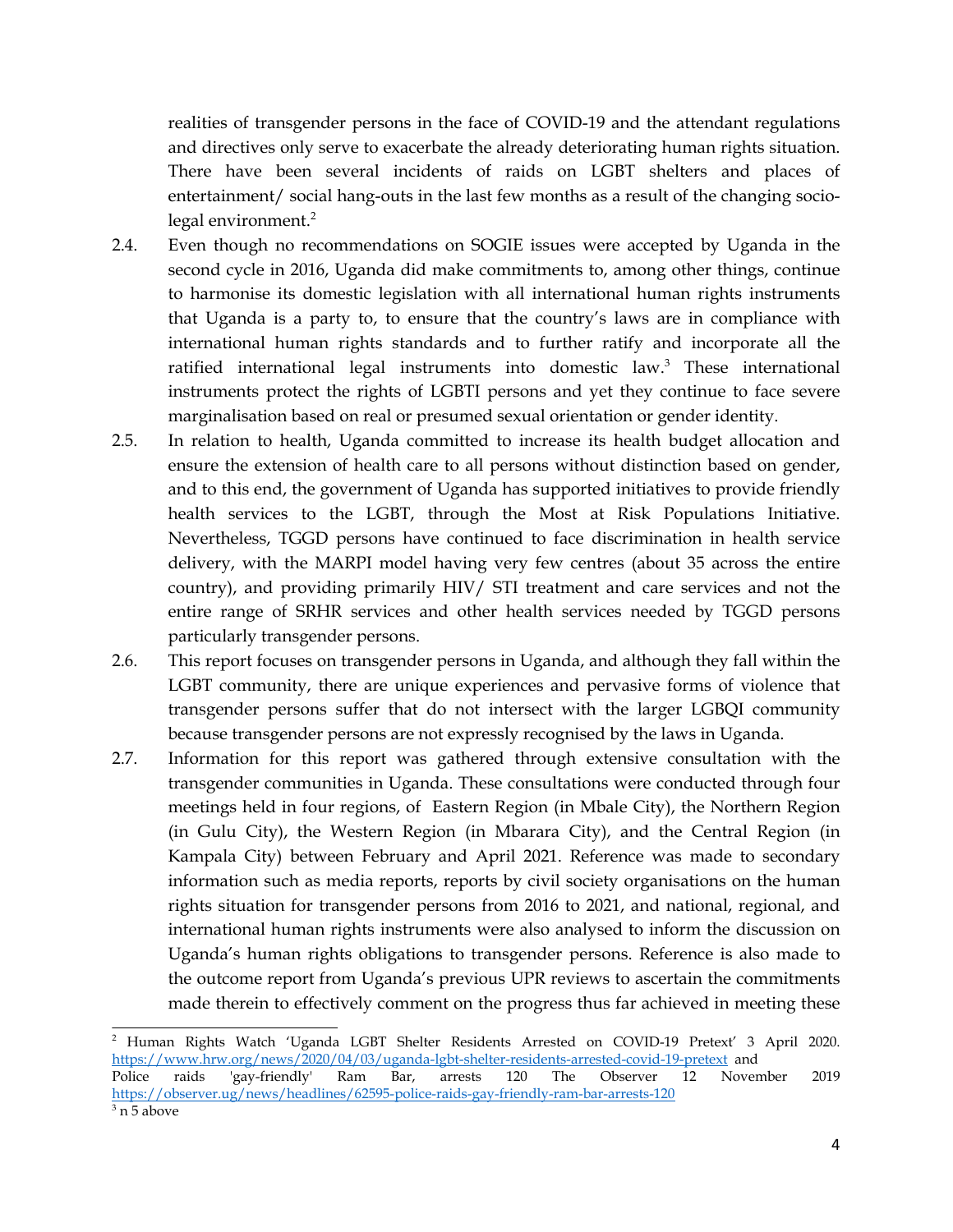realities of transgender persons in the face of COVID-19 and the attendant regulations and directives only serve to exacerbate the already deteriorating human rights situation. There have been several incidents of raids on LGBT shelters and places of entertainment/ social hang-outs in the last few months as <sup>a</sup> result of the changing sociolegal environment. 2

- 2.4. Even though no recommendations on SOGIE issues were accepted by Uganda in the second cycle in 2016, Uganda did make commitments to, among other things, continue to harmonise its domestic legislation with all international human rights instruments that Uganda is <sup>a</sup> party to, to ensure that the country'<sup>s</sup> laws are in compliance with international human rights standards and to further ratify and incorporate all the ratified international legal instruments into domestic law. 3 These international instruments protect the rights of LGBTI persons and ye<sup>t</sup> they continue to face severe marginalisation based on real or presumed sexual orientation or gender identity.
- 2.5. In relation to health, Uganda committed to increase its health budget allocation and ensure the extension of health care to all persons without distinction based on gender, and to this end, the governmen<sup>t</sup> of Uganda has supported initiatives to provide friendly health services to the LGBT, through the Most at Risk Populations Initiative. Nevertheless, TGGD persons have continued to face discrimination in health service delivery, with the MARPI model having very few centres (about 35 across the entire country), and providing primarily HIV/ STI treatment and care services and not the entire range of SRHR services and other health services needed by TGGD persons particularly transgender persons.
- 2.6. This repor<sup>t</sup> focuses on transgender persons in Uganda, and although they fall within the LGBT community, there are unique experiences and pervasive forms of violence that transgender persons suffer that do not intersect with the larger LGBQI community because transgender persons are not expressly recognised by the laws in Uganda.
- 2.7. Information for this repor<sup>t</sup> was gathered through extensive consultation with the transgender communities in Uganda. These consultations were conducted through four meetings held in four regions, of Eastern Region (in Mbale City), the Northern Region (in Gulu City), the Western Region (in Mbarara City), and the Central Region (in Kampala City) between February and April 2021. Reference was made to secondary information such as media reports, reports by civil society organisations on the human rights situation for transgender persons from 2016 to 2021, and national, regional, and international human rights instruments were also analysed to inform the discussion on Uganda'<sup>s</sup> human rights obligations to transgender persons. Reference is also made to the outcome repor<sup>t</sup> from Uganda'<sup>s</sup> previous UPR reviews to ascertain the commitments made therein to effectively comment on the progress thus far achieved in meeting these

<sup>2</sup> Human Rights Watch 'Uganda LGBT Shelter Residents Arrested on COVID-19 Pretext' <sup>3</sup> April 2020. <https://www.hrw.org/news/2020/04/03/uganda-lgbt-shelter-residents-arrested-covid-19-pretext> and<br>Police raids 'gay-friendly' Ram Bar, arrests 120 The Observer 12 Novem raids 'gay-friendly' Ram Bar, arrests 120 The Observer 12 November 2019 <https://observer.ug/news/headlines/62595-police-raids-gay-friendly-ram-bar-arrests-120>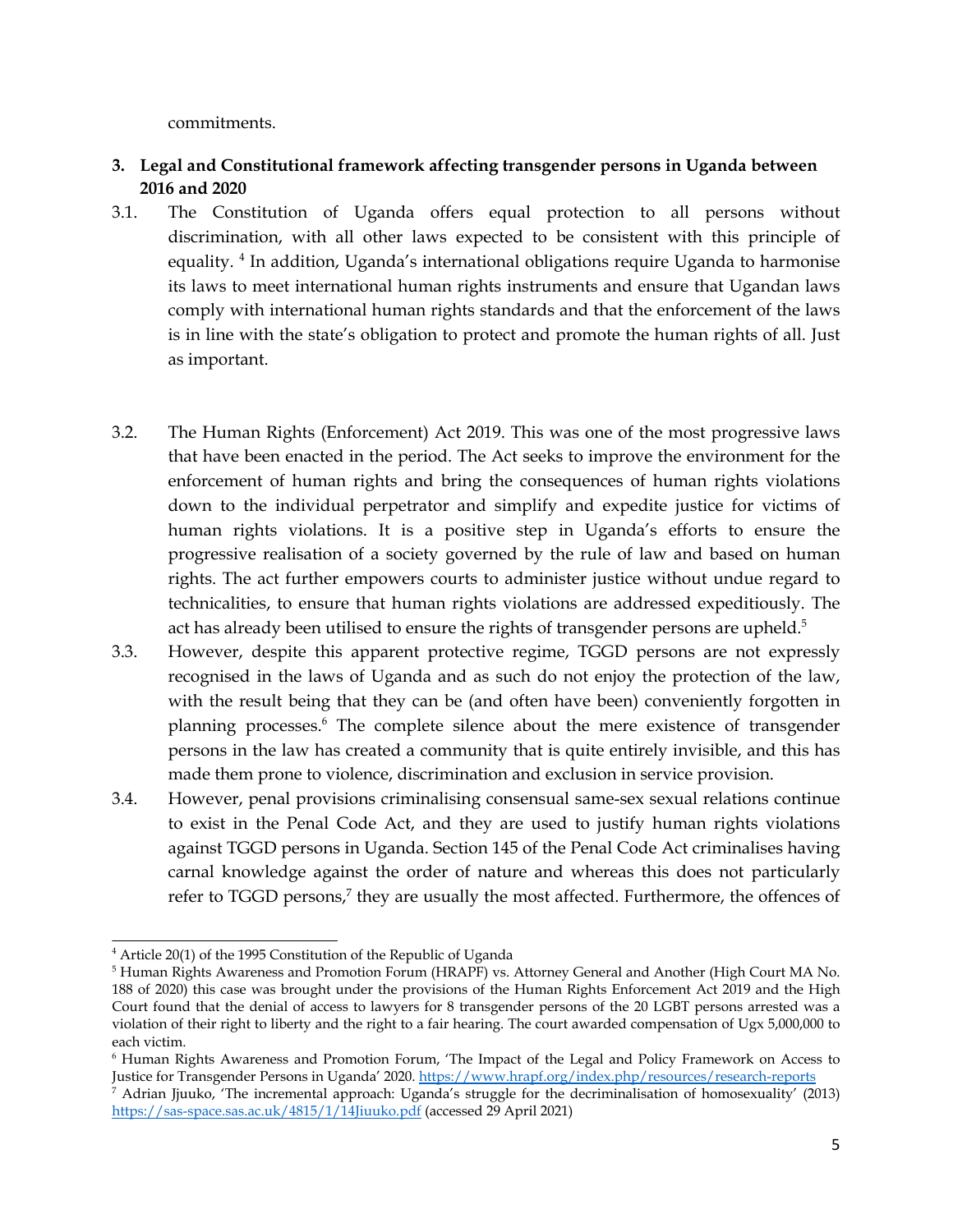commitments.

- <span id="page-4-0"></span>**3. Legal and Constitutional framework affecting transgender persons in Uganda between 2016 and 2020**
- 3.1. The Constitution of Uganda offers equal protection to all persons without discrimination, with all other laws expected to be consistent with this principle of equality. <sup>4</sup> In addition, Uganda's international obligations require Uganda to harmonise its laws to meet international human rights instruments and ensure that Ugandan laws comply with international human rights standards and that the enforcement of the laws is in line with the state'<sup>s</sup> obligation to protect and promote the human rights of all. Just as important.
- 3.2. The Human Rights (Enforcement) Act 2019. This was one of the most progressive laws that have been enacted in the period. The Act seeks to improve the environment for the enforcement of human rights and bring the consequences of human rights violations down to the individual perpetrator and simplify and expedite justice for victims of human rights violations. It is <sup>a</sup> positive step in Uganda'<sup>s</sup> efforts to ensure the progressive realisation of <sup>a</sup> society governed by the rule of law and based on human rights. The act further empowers courts to administer justice without undue regard to technicalities, to ensure that human rights violations are addressed expeditiously. The act has already been utilised to ensure the rights of transgender persons are upheld. $^5$
- 3.3. However, despite this apparen<sup>t</sup> protective regime, TGGD persons are not expressly recognised in the laws of Uganda and as such do not enjoy the protection of the law, with the result being that they can be (and often have been) conveniently forgotten in planning processes. 6 The complete silence about the mere existence of transgender persons in the law has created <sup>a</sup> community that is quite entirely invisible, and this has made them prone to violence, discrimination and exclusion in service provision.
- 3.4. However, penal provisions criminalising consensual same-sex sexual relations continue to exist in the Penal Code Act, and they are used to justify human rights violations against TGGD persons in Uganda. Section 145 of the Penal Code Act criminalises having carnal knowledge against the order of nature and whereas this does not particularly refer to TGGD persons,<sup>7</sup> they are usually the most affected. Furthermore, the offences of

<sup>4</sup> Article 20(1) of the <sup>1995</sup> Constitution of the Republic of Uganda

<sup>5</sup> Human Rights Awareness and Promotion Forum (HRAPF) vs. Attorney General and Another (High Court MA No. 188 of 2020) this case was brought under the provisions of the Human Rights Enforcement Act 2019 and the High Court found that the denial of access to lawyers for 8 transgender persons of the 20 LGBT persons arrested was <sup>a</sup> violation of their right to liberty and the right to <sup>a</sup> fair hearing. The court awarded compensation of Ugx 5,000,000 to each victim.

<sup>6</sup> Human Rights Awareness and Promotion Forum, 'The Impact of the Legal and Policy Framework on Access to Justice for Transgender Persons in Uganda' 2020. <u><https://www.hrapf.org/index.php/resources/research-reports></u>

<sup>7</sup> Adrian Jjuuko, 'The incremental approach: Uganda'<sup>s</sup> struggle for the decriminalisation of homosexuality' (2013) <https://sas-space.sas.ac.uk/4815/1/14Jiuuko.pdf> (accessed 29 April 2021)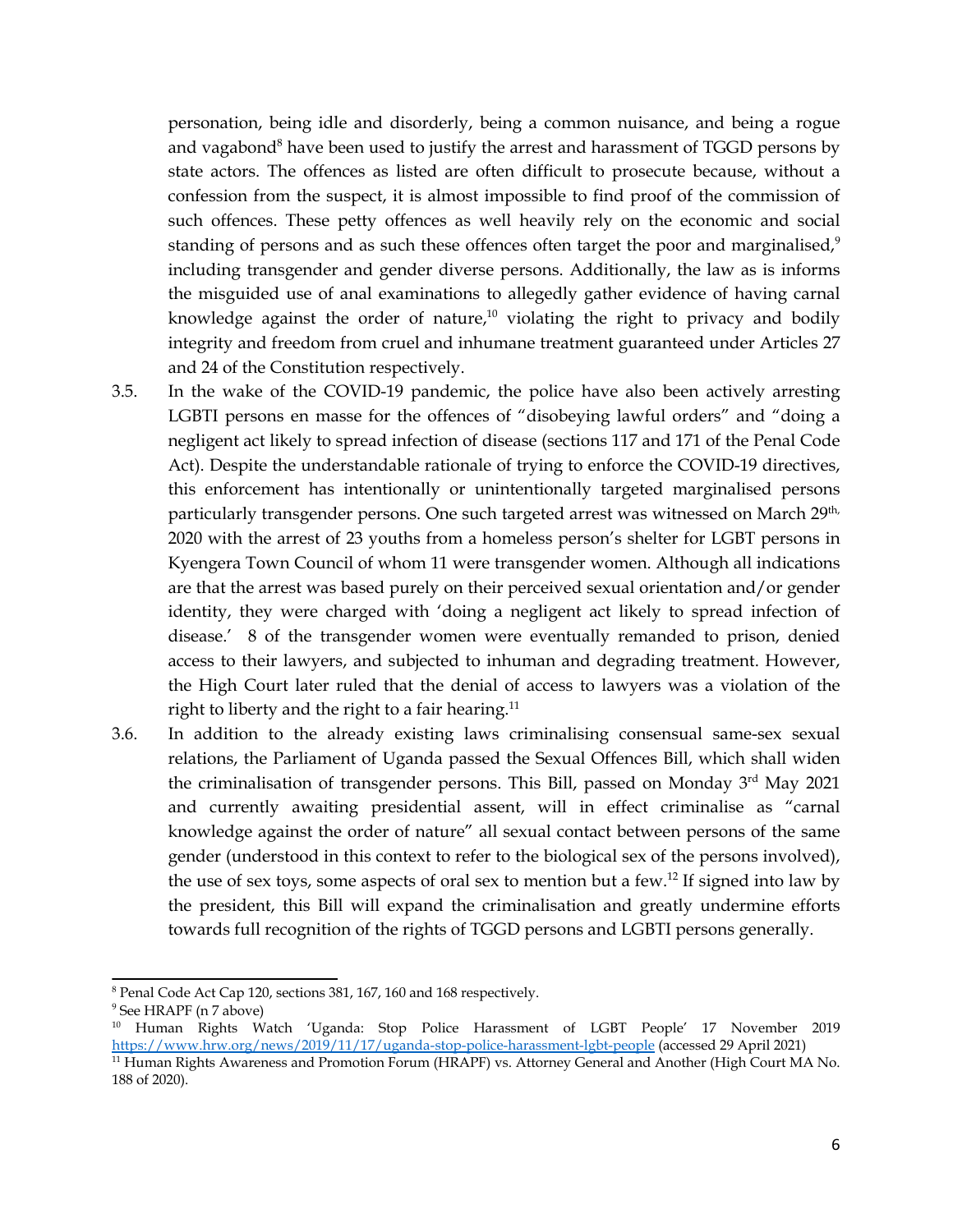personation, being idle and disorderly, being <sup>a</sup> common nuisance, and being <sup>a</sup> rogue and vagabond<sup>8</sup> have been used to justify the arrest and harassment of TGGD persons by state actors. The offences as listed are often difficult to prosecute because, without <sup>a</sup> confession from the suspect, it is almost impossible to find proof of the commission of such offences. These petty offences as well heavily rely on the economic and social standing of persons and as such these offences often target the poor and marginalised, $^9$ including transgender and gender diverse persons. Additionally, the law as is informs the misguided use of anal examinations to allegedly gather evidence of having carnal knowledge against the order of nature, $^{10}$  violating the right to privacy and bodily integrity and freedom from cruel and inhumane treatment guaranteed under Articles <sup>27</sup> and <sup>24</sup> of the Constitution respectively.

- 3.5. In the wake of the COVID-19 pandemic, the police have also been actively arresting LGBTI persons en masse for the offences of "disobeying lawful orders" and "doing <sup>a</sup> negligent act likely to spread infection of disease (sections <sup>117</sup> and <sup>171</sup> of the Penal Code Act). Despite the understandable rationale of trying to enforce the COVID-19 directives, this enforcement has intentionally or unintentionally targeted marginalised persons particularly transgender persons. One such targeted arrest was witnessed on March 29<sup>th,</sup> <sup>2020</sup> with the arrest of <sup>23</sup> youths from <sup>a</sup> homeless person'<sup>s</sup> shelter for LGBT persons in Kyengera Town Council of whom <sup>11</sup> were transgender women. Although all indications are that the arrest was based purely on their perceived sexual orientation and/or gender identity, they were charged with 'doing <sup>a</sup> negligent act likely to spread infection of disease.' <sup>8</sup> of the transgender women were eventually remanded to prison, denied access to their lawyers, and subjected to inhuman and degrading treatment. However, the High Court later ruled that the denial of access to lawyers was <sup>a</sup> violation of the right to liberty and the right to a fair hearing.<sup>11</sup>
- 3.6. In addition to the already existing laws criminalising consensual same-sex sexual relations, the Parliament of Uganda passed the Sexual Offences Bill, which shall widen the criminalisation of transgender persons. This Bill, passed on Monday 3<sup>rd</sup> May 2021 and currently awaiting presidential assent, will in effect criminalise as "carnal knowledge against the order of nature" all sexual contact between persons of the same gender (understood in this context to refer to the biological sex of the persons involved), the use of sex toys, some aspects of oral sex to mention but a few.<sup>12</sup> If signed into law by the president, this Bill will expand the criminalisation and greatly undermine efforts towards full recognition of the rights of TGGD persons and LGBTI persons generally.

<sup>8</sup> Penal Code Act Cap 120, sections 381, 167, 160 and 168 respectively.

<sup>9</sup> See HRAPF (n 7 above)

<sup>10</sup> Human Rights Watch 'Uganda: Stop Police Harassment of LGBT People' <sup>17</sup> November <sup>2019</sup> <https://www.hrw.org/news/2019/11/17/uganda-stop-police-harassment-lgbt-people> (accessed 29 April 2021) <sup>11</sup> Human Rights Awareness and Promotion Forum (HRAPF) vs. Attorney General and Another (High Court MA No.

<sup>188</sup> of 2020).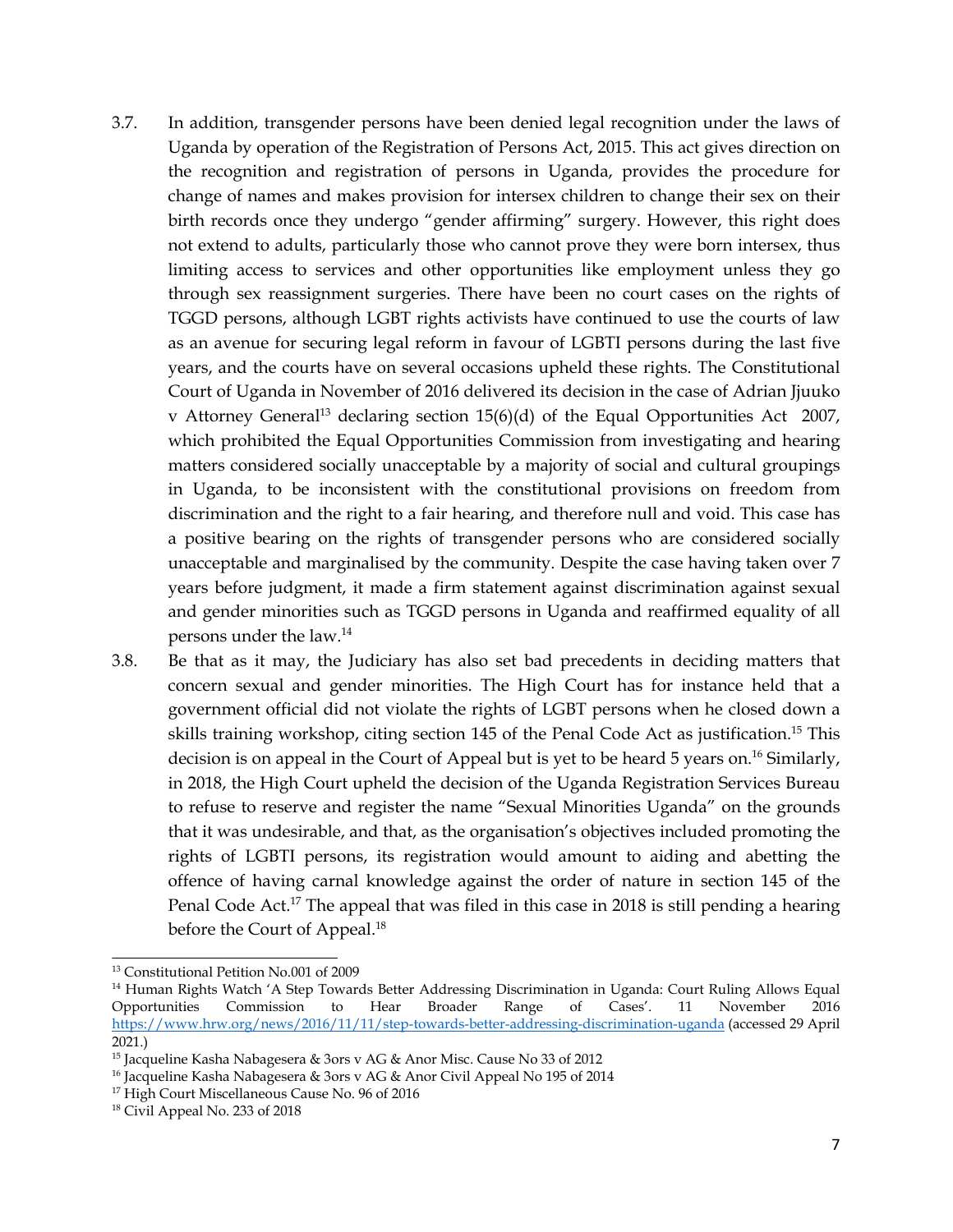- 3.7. In addition, transgender persons have been denied legal recognition under the laws of Uganda by operation of the Registration of Persons Act, 2015. This act gives direction on the recognition and registration of persons in Uganda, provides the procedure for change of names and makes provision for intersex children to change their sex on their birth records once they undergo "gender affirming" surgery. However, this right does not extend to adults, particularly those who cannot prove they were born intersex, thus limiting access to services and other opportunities like employment unless they go through sex reassignment surgeries. There have been no court cases on the rights of TGGD persons, although LGBT rights activists have continued to use the courts of law as an avenue for securing legal reform in favour of LGBTI persons during the last five years, and the courts have on several occasions upheld these rights. The Constitutional Court of Uganda in November of 2016 delivered its decision in the case of Adrian Jjuuko <sup>v</sup> Attorney General 13 declaring section 15(6)(d) of the Equal Opportunities Act 2007, which prohibited the Equal Opportunities Commission from investigating and hearing matters considered socially unacceptable by <sup>a</sup> majority of social and cultural groupings in Uganda, to be inconsistent with the constitutional provisions on freedom from discrimination and the right to <sup>a</sup> fair hearing, and therefore null and void. This case has <sup>a</sup> positive bearing on the rights of transgender persons who are considered socially unacceptable and marginalised by the community. Despite the case having taken over <sup>7</sup> years before judgment, it made <sup>a</sup> firm statement against discrimination against sexual and gender minorities such as TGGD persons in Uganda and reaffirmed equality of all persons under the law. 14
- 3.8. Be that as it may, the Judiciary has also set bad precedents in deciding matters that concern sexual and gender minorities. The High Court has for instance held that <sup>a</sup> governmen<sup>t</sup> official did not violate the rights of LGBT persons when he closed down <sup>a</sup> skills training workshop, citing section 145 of the Penal Code Act as justification. 15 This decision is on appeal in the Court of Appeal but is ye<sup>t</sup> to be heard 5 years on. 16 Similarly, in 2018, the High Court upheld the decision of the Uganda Registration Services Bureau to refuse to reserve and register the name "Sexual Minorities Uganda" on the grounds that it was undesirable, and that, as the organisation'<sup>s</sup> objectives included promoting the rights of LGBTI persons, its registration would amount to aiding and abetting the offence of having carnal knowledge against the order of nature in section 145 of the Penal Code Act.<sup>17</sup> The appeal that was filed in this case in 2018 is still pending a hearing before the Court of Appeal. 18

<sup>13</sup> Constitutional Petition No.001 of 2009

<sup>14</sup> Human Rights Watch '<sup>A</sup> Step Towards Better Addressing Discrimination in Uganda: Court Ruling Allows Equal Opportunities Commission to Hear Broader Range of Cases'. <sup>11</sup> November 2016 <https://www.hrw.org/news/2016/11/11/step-towards-better-addressing-discrimination-uganda> (accessed 29 April 2021.)

<sup>15</sup> Jacqueline Kasha Nabagesera & 3ors <sup>v</sup> AG & Anor Misc. Cause No 33 of 2012

<sup>16</sup> Jacqueline Kasha Nabagesera & 3ors <sup>v</sup> AG & Anor Civil Appeal No 195 of 2014

<sup>&</sup>lt;sup>17</sup> High Court Miscellaneous Cause No. 96 of 2016

<sup>&</sup>lt;sup>18</sup> Civil Appeal No. 233 of 2018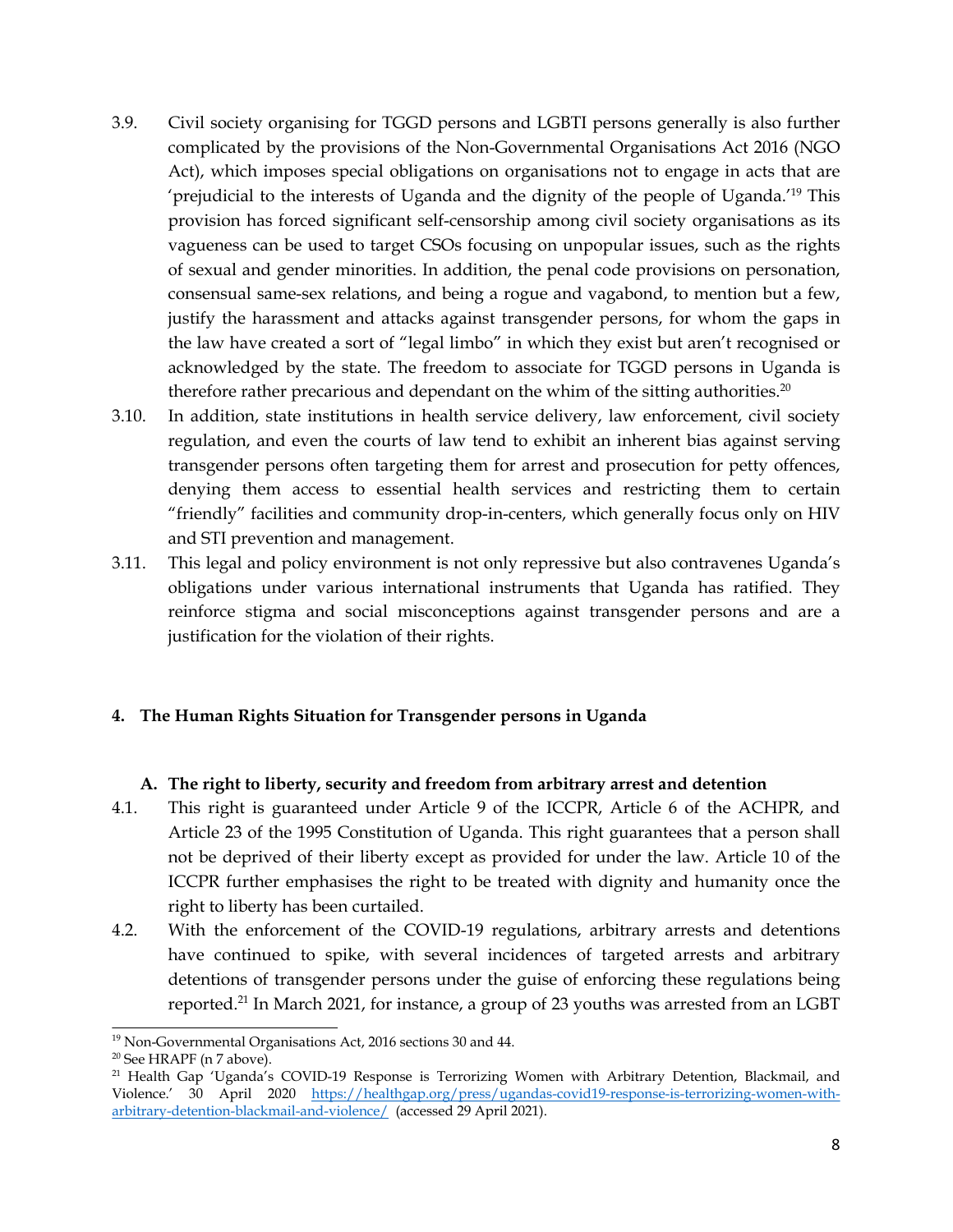- <span id="page-7-0"></span>3.9. Civil society organising for TGGD persons and LGBTI persons generally is also further complicated by the provisions of the Non-Governmental Organisations Act 2016 (NGO Act), which imposes special obligations on organisations not to engage in acts that are 'prejudicial to the interests of Uganda and the dignity of the people of Uganda.'<sup>19</sup> This provision has forced significant self-censorship among civil society organisations as its vagueness can be used to target CSOs focusing on unpopular issues, such as the rights of sexual and gender minorities. In addition, the penal code provisions on personation, consensual same-sex relations, and being <sup>a</sup> rogue and vagabond, to mention but <sup>a</sup> few, justify the harassment and attacks against transgender persons, for whom the gaps in the law have created <sup>a</sup> sort of "legal limbo" in which they exist but aren'<sup>t</sup> recognised or acknowledged by the state. The freedom to associate for TGGD persons in Uganda is therefore rather precarious and dependant on the whim of the sitting authorities. $^{20}$
- 3.10. In addition, state institutions in health service delivery, law enforcement, civil society regulation, and even the courts of law tend to exhibit an inherent bias against serving transgender persons often targeting them for arrest and prosecution for petty offences, denying them access to essential health services and restricting them to certain "friendly" facilities and community drop-in-centers, which generally focus only on HIV and STI prevention and management.
- 3.11. This legal and policy environment is not only repressive but also contravenes Uganda'<sup>s</sup> obligations under various international instruments that Uganda has ratified. They reinforce stigma and social misconceptions against transgender persons and are <sup>a</sup> justification for the violation of their rights.

## **4. The Human Rights Situation for Transgender persons in Uganda**

### **A. The right to liberty, security and freedom from arbitrary arrest and detention**

- 4.1. This right is guaranteed under Article 9 of the ICCPR, Article 6 of the ACHPR, and Article 23 of the 1995 Constitution of Uganda. This right guarantees that <sup>a</sup> person shall not be deprived of their liberty excep<sup>t</sup> as provided for under the law. Article 10 of the ICCPR further emphasises the right to be treated with dignity and humanity once the right to liberty has been curtailed.
- 4.2. With the enforcement of the COVID-19 regulations, arbitrary arrests and detentions have continued to spike, with several incidences of targeted arrests and arbitrary detentions of transgender persons under the guise of enforcing these regulations being reported.<sup>21</sup> In March 2021, for instance, a group of 23 youths was arrested from an LGBT

<sup>19</sup> Non-Governmental Organisations Act, <sup>2016</sup> sections <sup>30</sup> and 44.

<sup>&</sup>lt;sup>20</sup> See HRAPF (n 7 above).

<sup>&</sup>lt;sup>21</sup> Health Gap 'Uganda's COVID-19 Response is Terrorizing Women with Arbitrary Detention, Blackmail, and Violence.' <sup>30</sup> April <sup>2020</sup> [https://healthgap.org/press/ugandas-covid19-response-is-terrorizing-women-with](https://healthgap.org/press/ugandas-covid19-response-is-terrorizing-women-with-arbitrary-detention-blackmail-and-violence/)[arbitrary-detention-blackmail-and-violence/](https://healthgap.org/press/ugandas-covid19-response-is-terrorizing-women-with-arbitrary-detention-blackmail-and-violence/) (accessed 29 April 2021).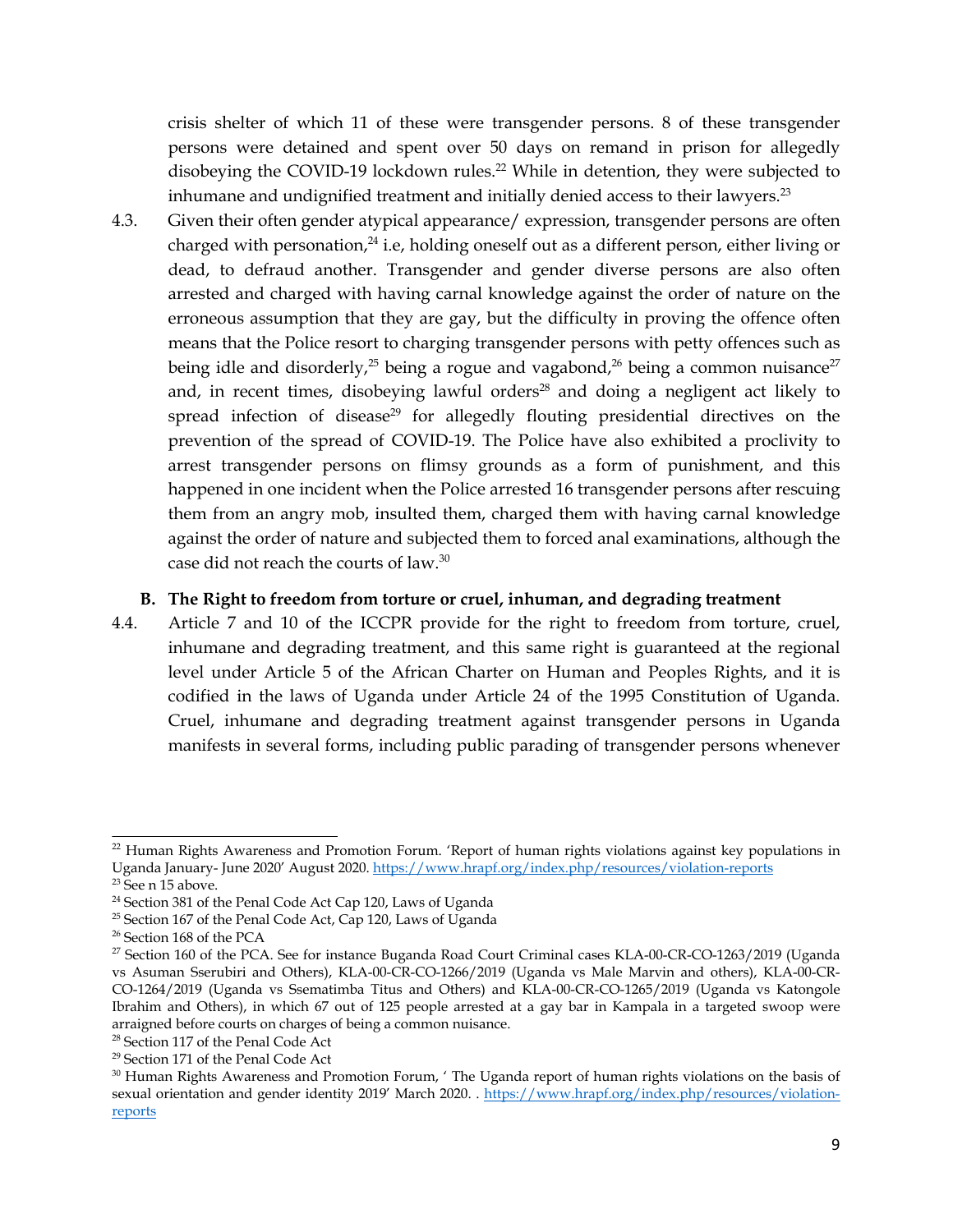<span id="page-8-0"></span>crisis shelter of which <sup>11</sup> of these were transgender persons. 8 of these transgender persons were detained and spen<sup>t</sup> over 50 days on remand in prison for allegedly disobeying the COVID-19 lockdown rules. <sup>22</sup> While in detention, they were subjected to inhumane and undignified treatment and initially denied access to their lawyers. $^{23}$ 

4.3. Given their often gender atypical appearance/ expression, transgender persons are often charged with personation,<sup>24</sup> i.e, holding oneself out as a different person, either living or dead, to defraud another. Transgender and gender diverse persons are also often arrested and charged with having carnal knowledge against the order of nature on the erroneous assumption that they are gay, but the difficulty in proving the offence often means that the Police resort to charging transgender persons with petty offences such as being idle and disorderly, $^{25}$  being a rogue and vagabond, $^{26}$  being a common nuisance $^{27}$ and, in recent times, disobeying lawful orders $^{28}$  and doing a negligent act likely to spread infection of disease<sup>29</sup> for allegedly flouting presidential directives on the prevention of the spread of COVID-19. The Police have also exhibited <sup>a</sup> proclivity to arrest transgender persons on flimsy grounds as <sup>a</sup> form of punishment, and this happened in one incident when the Police arrested 16 transgender persons after rescuing them from an angry mob, insulted them, charged them with having carnal knowledge against the order of nature and subjected them to forced anal examinations, although the case did not reach the courts of law. $^{\rm 30}$ 

#### **B. The Right to freedom from torture or cruel, inhuman, and degrading treatment**

4.4. Article <sup>7</sup> and 10 of the ICCPR provide for the right to freedom from torture, cruel, inhumane and degrading treatment, and this same right is guaranteed at the regional level under Article 5 of the African Charter on Human and Peoples Rights, and it is codified in the laws of Uganda under Article <sup>24</sup> of the 1995 Constitution of Uganda. Cruel, inhumane and degrading treatment against transgender persons in Uganda manifests in several forms, including public parading of transgender persons whenever

<sup>&</sup>lt;sup>22</sup> Human Rights Awareness and Promotion Forum. 'Report of human rights violations against key populations in Uganda January- June <sup>2020</sup>' August 2020. <https://www.hrapf.org/index.php/resources/violation-reports>

<sup>&</sup>lt;sup>23</sup> See n 15 above.

<sup>24</sup> Section 381 of the Penal Code Act Cap 120, Laws of Uganda

<sup>&</sup>lt;sup>25</sup> Section 167 of the Penal Code Act, Cap 120, Laws of Uganda

<sup>&</sup>lt;sup>26</sup> Section 168 of the PCA

<sup>&</sup>lt;sup>27</sup> Section 160 of the PCA. See for instance Buganda Road Court Criminal cases KLA-00-CR-CO-1263/2019 (Uganda vs Asuman Sserubiri and Others), KLA-00-CR-CO-1266/2019 (Uganda vs Male Marvin and others), KLA-00-CR-CO-1264/2019 (Uganda vs Ssematimba Titus and Others) and KLA-00-CR-CO-1265/2019 (Uganda vs Katongole Ibrahim and Others), in which 67 out of 125 people arrested at <sup>a</sup> gay bar in Kampala in <sup>a</sup> targeted swoop were arraigned before courts on charges of being <sup>a</sup> common nuisance.

<sup>&</sup>lt;sup>28</sup> Section 117 of the Penal Code Act

<sup>&</sup>lt;sup>29</sup> Section 171 of the Penal Code Act

<sup>&</sup>lt;sup>30</sup> Human Rights Awareness and Promotion Forum, ' The Uganda report of human rights violations on the basis of sexual orientation and gender identity 2019' March 2020. . [https://www.hrapf.org/index.php/resources/violation](https://www.hrapf.org/index.php/resources/violation-reports)[repor](https://www.hrapf.org/index.php/resources/violation-reports)ts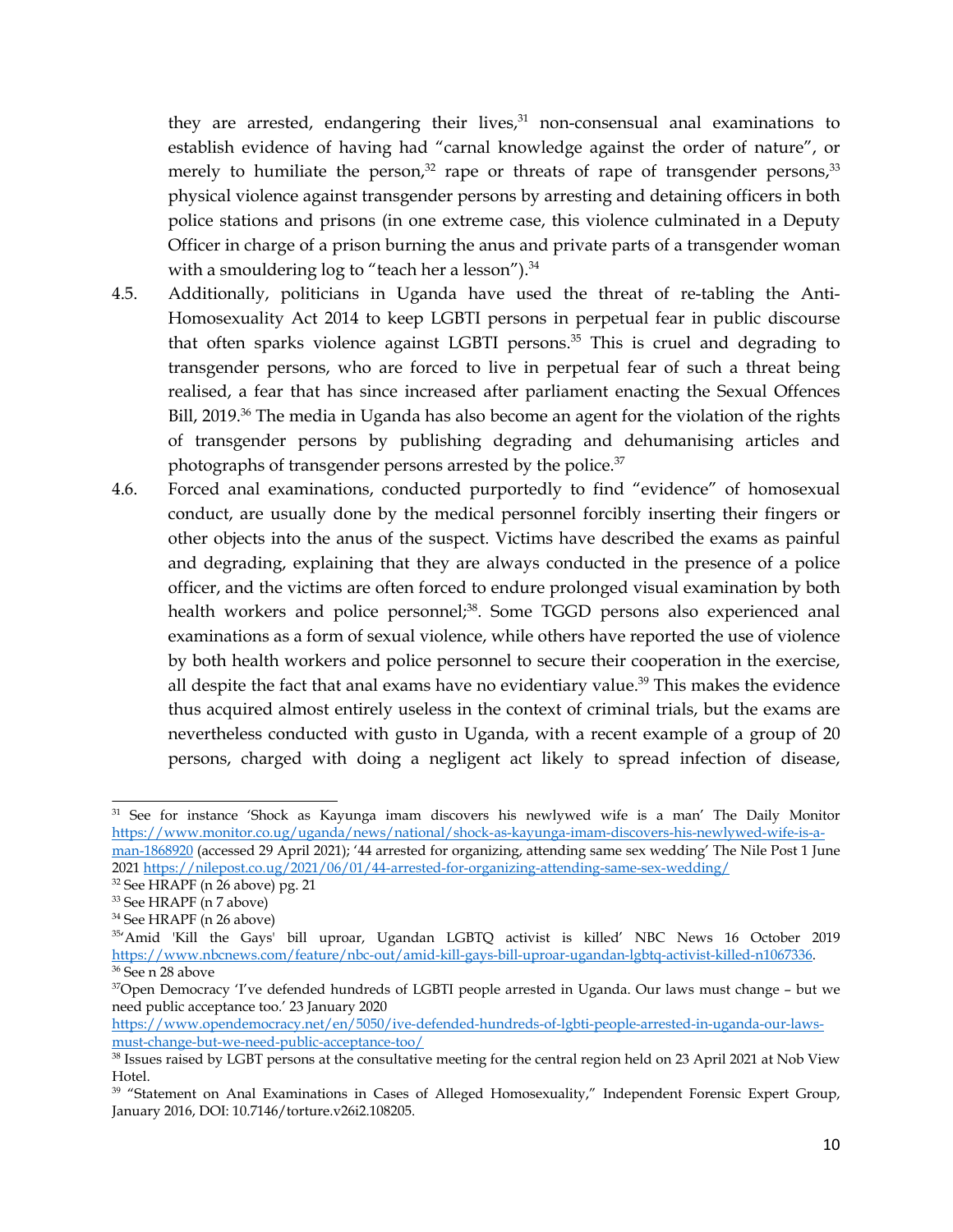they are arrested, endangering their lives, 31 non-consensual anal examinations to establish evidence of having had "carnal knowledge against the order of nature", or merely to humiliate the person, $^{32}$  rape or threats of rape of transgender persons, $^{33}$ physical violence against transgender persons by arresting and detaining officers in both police stations and prisons (in one extreme case, this violence culminated in <sup>a</sup> Deputy Officer in charge of <sup>a</sup> prison burning the anus and private parts of <sup>a</sup> transgender woman with a smouldering log to "teach her a lesson"). $^{34}$ 

- 4.5. Additionally, politicians in Uganda have used the threat of re-tabling the Anti-Homosexuality Act 2014 to keep LGBTI persons in perpetual fear in public discourse that often sparks violence against LGBTI persons. 35 This is cruel and degrading to transgender persons, who are forced to live in perpetual fear of such <sup>a</sup> threat being realised, <sup>a</sup> fear that has since increased after parliament enacting the Sexual Offences Bill, 2019.<sup>36</sup> The media in Uganda has also become an agent for the violation of the rights of transgender persons by publishing degrading and dehumanising articles and photographs of transgender persons arrested by the police.<sup>37</sup>
- 4.6. Forced anal examinations, conducted purportedly to find "evidence" of homosexual conduct, are usually done by the medical personnel forcibly inserting their fingers or other objects into the anus of the suspect. Victims have described the exams as painful and degrading, explaining that they are always conducted in the presence of <sup>a</sup> police officer, and the victims are often forced to endure prolonged visual examination by both health workers and police personnel;<sup>38</sup>. Some TGGD persons also experienced anal examinations as <sup>a</sup> form of sexual violence, while others have reported the use of violence by both health workers and police personnel to secure their cooperation in the exercise, all despite the fact that anal exams have no evidentiary value. 39 This makes the evidence thus acquired almost entirely useless in the context of criminal trials, but the exams are nevertheless conducted with gusto in Uganda, with <sup>a</sup> recent example of <sup>a</sup> group of 20 persons, charged with doing <sup>a</sup> negligent act likely to spread infection of disease,

<sup>&</sup>lt;sup>31</sup> See for instance 'Shock as Kayunga imam discovers his newlywed wife is a man' The Daily Monitor [https://www.monitor.co.ug/uganda/news/national/shock-as-kayunga-imam-discovers-his-newlywed-wife-is-a](https://www.monitor.co.ug/uganda/news/national/shock-as-kayunga-imam-discovers-his-newlywed-wife-is-a-man-1868920)[man-1868920](https://www.monitor.co.ug/uganda/news/national/shock-as-kayunga-imam-discovers-his-newlywed-wife-is-a-man-1868920) (accessed 29 April 2021); '<sup>44</sup> arrested for organizing, attending same sex wedding' The Nile Post <sup>1</sup> June

<sup>2021</sup> <https://nilepost.co.ug/2021/06/01/44-arrested-for-organizing-attending-same-sex-wedding/>

<sup>32</sup> See HRAPF (n 26 above) pg. <sup>21</sup>

<sup>&</sup>lt;sup>33</sup> See HRAPF (n 7 above)

<sup>34</sup> See HRAPF (n 26 above)

<sup>35</sup> 'Amid 'Kill the Gays' bill uproar, Ugandan LGBTQ activist is killed' NBC News 16 October 2019 <https://www.nbcnews.com/feature/nbc-out/amid-kill-gays-bill-uproar-ugandan-lgbtq-activist-killed-n1067336>. <sup>36</sup> See n 28 above

<sup>&</sup>lt;sup>37</sup>Open Democracy 'I've defended hundreds of LGBTI people arrested in Uganda. Our laws must change - but we need public acceptance too.' <sup>23</sup> January <sup>2020</sup>

[https://www.opendemocracy.net/en/5050/ive-defended-hundreds-of-lgbti-people-arrested-in-uganda-our-laws](https://www.opendemocracy.net/en/5050/ive-defended-hundreds-of-lgbti-people-arrested-in-uganda-our-laws-must-change-but-we-need-public-acceptance-too/)[must-change-but-we-need-public-acceptance-too/](https://www.opendemocracy.net/en/5050/ive-defended-hundreds-of-lgbti-people-arrested-in-uganda-our-laws-must-change-but-we-need-public-acceptance-too/)

 $^{38}$  Issues raised by LGBT persons at the consultative meeting for the central region held on 23 April 2021 at Nob View Hotel.

<sup>&</sup>lt;sup>39</sup> "Statement on Anal Examinations in Cases of Alleged Homosexuality," Independent Forensic Expert Group, January 2016, DOI: 10.7146/torture.v26i2.108205.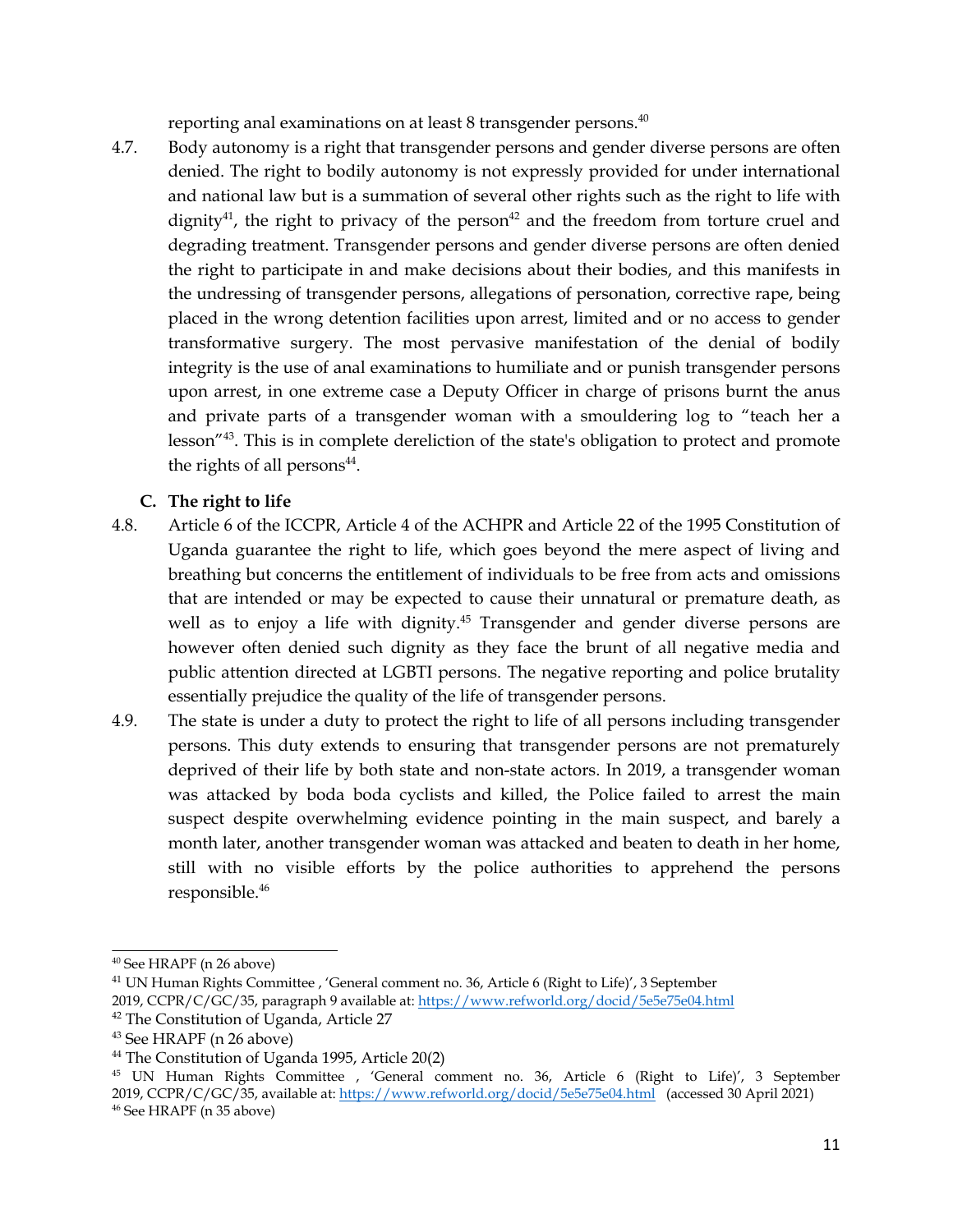reporting anal examinations on at least 8 transgender persons. 40

<span id="page-10-0"></span>4.7. Body autonomy is <sup>a</sup> right that transgender persons and gender diverse persons are often denied. The right to bodily autonomy is not expressly provided for under international and national law but is <sup>a</sup> summation of several other rights such as the right to life with dignity $^{41}$ , the right to privacy of the person $^{42}$  and the freedom from torture cruel and degrading treatment. Transgender persons and gender diverse persons are often denied the right to participate in and make decisions about their bodies, and this manifests in the undressing of transgender persons, allegations of personation, corrective rape, being placed in the wrong detention facilities upon arrest, limited and or no access to gender transformative surgery. The most pervasive manifestation of the denial of bodily integrity is the use of anal examinations to humiliate and or punish transgender persons upon arrest, in one extreme case <sup>a</sup> Deputy Officer in charge of prisons burnt the anus and private parts of <sup>a</sup> transgender woman with <sup>a</sup> smouldering log to "teach her <sup>a</sup> lesson"<sup>43</sup> . This is in complete dereliction of the state's obligation to protect and promote the rights of all persons $^{\rm 44}$ .

## **C. The right to life**

- 4.8. Article 6 of the ICCPR, Article 4 of the ACHPR and Article 22 of the 1995 Constitution of Uganda guarantee the right to life, which goes beyond the mere aspec<sup>t</sup> of living and breathing but concerns the entitlement of individuals to be free from acts and omissions that are intended or may be expected to cause their unnatural or premature death, as well as to enjoy <sup>a</sup> life with dignity. 45 Transgender and gender diverse persons are however often denied such dignity as they face the brunt of all negative media and public attention directed at LGBTI persons. The negative reporting and police brutality essentially prejudice the quality of the life of transgender persons.
- 4.9. The state is under <sup>a</sup> duty to protect the right to life of all persons including transgender persons. This duty extends to ensuring that transgender persons are not prematurely deprived of their life by both state and non-state actors. In 2019, <sup>a</sup> transgender woman was attacked by boda boda cyclists and killed, the Police failed to arrest the main suspec<sup>t</sup> despite overwhelming evidence pointing in the main suspect, and barely <sup>a</sup> month later, another transgender woman was attacked and beaten to death in her home, still with no visible efforts by the police authorities to apprehend the persons responsible. 46

<sup>40</sup> See HRAPF (n 26 above)

 $^{41}$  UN Human Rights Committee , 'General comment no. 36, Article 6 (Right to Life)', 3 September

<sup>2019,</sup> CCPR/C/GC/35, paragraph 9 available at: <https://www.refworld.org/docid/5e5e75e04.html>

<sup>&</sup>lt;sup>42</sup> The Constitution of Uganda, Article 27

<sup>&</sup>lt;sup>43</sup> See HRAPF (n 26 above)

<sup>&</sup>lt;sup>44</sup> The Constitution of Uganda 1995, Article 20(2)

<sup>45</sup> UN Human Rights Committee , 'General comment no. 36, Article <sup>6</sup> (Right to Life)', <sup>3</sup> September 2019, CCPR/C/GC/35, available at: <https://www.refworld.org/docid/5e5e75e04.html> (accessed 30 April 2021) 46 See HRAPF (n 35 above)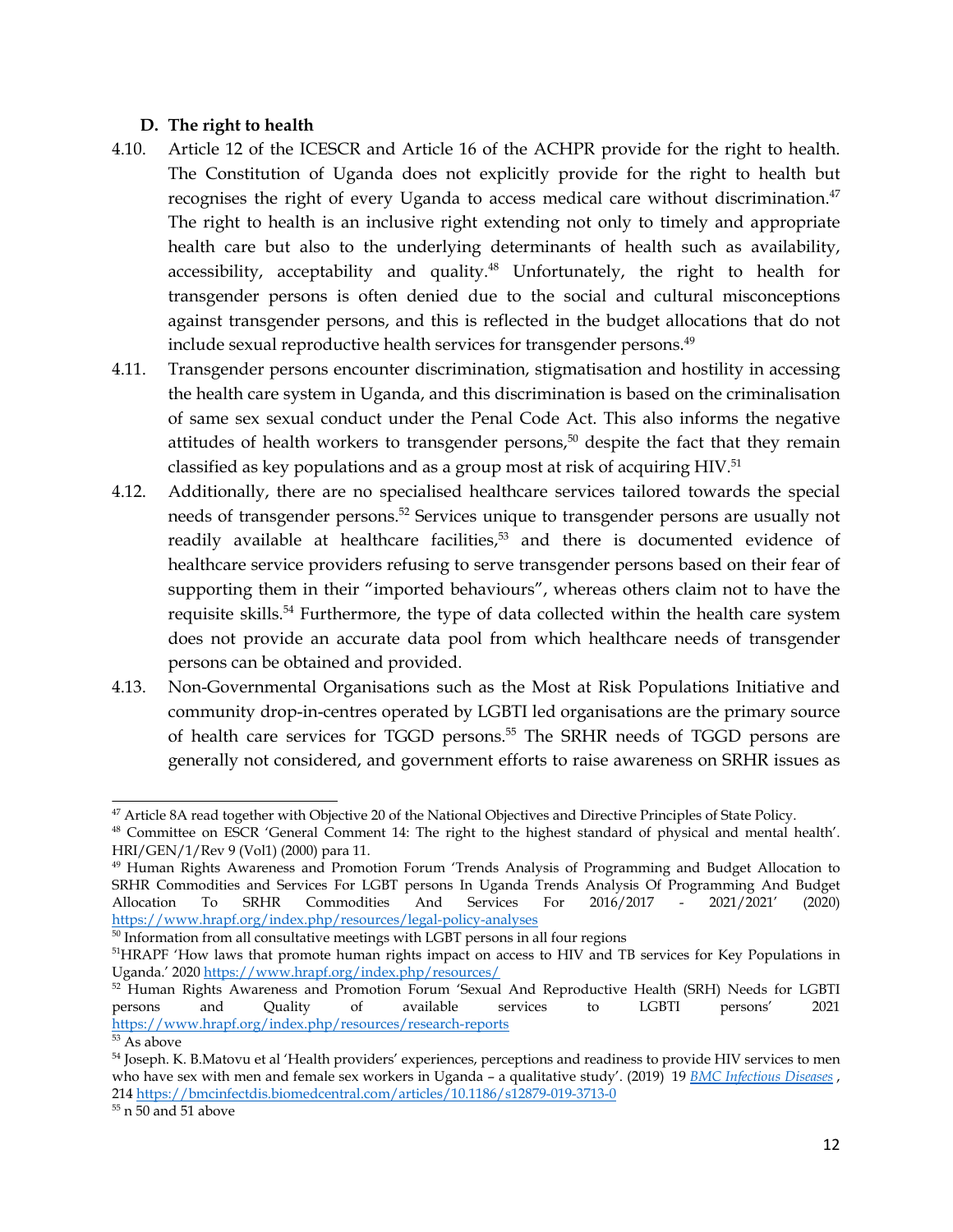### <span id="page-11-0"></span>**D. The right to health**

- 4.10. Article <sup>12</sup> of the ICESCR and Article 16 of the ACHPR provide for the right to health. The Constitution of Uganda does not explicitly provide for the right to health but recognises the right of every Uganda to access medical care without discrimination. 47 The right to health is an inclusive right extending not only to timely and appropriate health care but also to the underlying determinants of health such as availability, accessibility, acceptability and quality. <sup>48</sup> Unfortunately, the right to health for transgender persons is often denied due to the social and cultural misconceptions against transgender persons, and this is reflected in the budget allocations that do not include sexual reproductive health services for transgender persons. 49
- 4.11. Transgender persons encounter discrimination, stigmatisation and hostility in accessing the health care system in Uganda, and this discrimination is based on the criminalisation of same sex sexual conduct under the Penal Code Act. This also informs the negative attitudes of health workers to transgender persons, 50 despite the fact that they remain classified as key populations and as <sup>a</sup> group most at risk of acquiring HIV. 51
- 4.12. Additionally, there are no specialised healthcare services tailored towards the special needs of transgender persons. 52 Services unique to transgender persons are usually not readily available at healthcare facilities, 53 and there is documented evidence of healthcare service providers refusing to serve transgender persons based on their fear of supporting them in their "imported behaviours", whereas others claim not to have the requisite skills.<sup>54</sup> Furthermore, the type of data collected within the health care system does not provide an accurate data pool from which healthcare needs of transgender persons can be obtained and provided.
- 4.13. Non-Governmental Organisations such as the Most at Risk Populations Initiative and community drop-in-centres operated by LGBTI led organisations are the primary source of health care services for TGGD persons. 55 The SRHR needs of TGGD persons are generally not considered, and governmen<sup>t</sup> efforts to raise awareness on SRHR issues as

<sup>47</sup> Article 8A read together with Objective <sup>20</sup> of the National Objectives and Directive Principles of State Policy.

<sup>48</sup> Committee on ESCR 'General Comment 14: The right to the highest standard of physical and mental health'. HRI/GEN/1/Rev 9 (Vol1) (2000) para 11.

<sup>49</sup> Human Rights Awareness and Promotion Forum 'Trends Analysis of Programming and Budget Allocation to SRHR Commodities and Services For LGBT persons In Uganda Trends Analysis Of Programming And Budget Allocation To SRHR Commodities And Services For 2016/2017 - 2021/2021' (2020) <https://www.hrapf.org/index.php/resources/legal-policy-analyses>

 $50$  Information from all consultative meetings with LGBT persons in all four regions

<sup>&</sup>lt;sup>51</sup>HRAPF 'How laws that promote human rights impact on access to HIV and TB services for Key Populations in Uganda.' <sup>2020</sup> <https://www.hrapf.org/index.php/resources/>

<sup>&</sup>lt;sup>52</sup> Human Rights Awareness and Promotion Forum 'Sexual And Reproductive Health (SRH) Needs for LGBTI persons and Quality of available services to LGBTI persons 2021 persons and Quality of available services to LGBTI persons' <sup>2021</sup> <https://www.hrapf.org/index.php/resources/research-reports>

<sup>53</sup> As above

<sup>54</sup> Joseph. K. B.Matovu et al 'Health providers' experiences, perceptions and readiness to provide HIV services to men who have sex with men and female sex workers in Uganda – <sup>a</sup> qualitative study'. (2019) 19 *BMC [Infectious](https://bmcinfectdis.biomedcentral.com/) Diseases* , 214 <https://bmcinfectdis.biomedcentral.com/articles/10.1186/s12879-019-3713-0>

 $\rm ^{55}$  n 50 and 51 above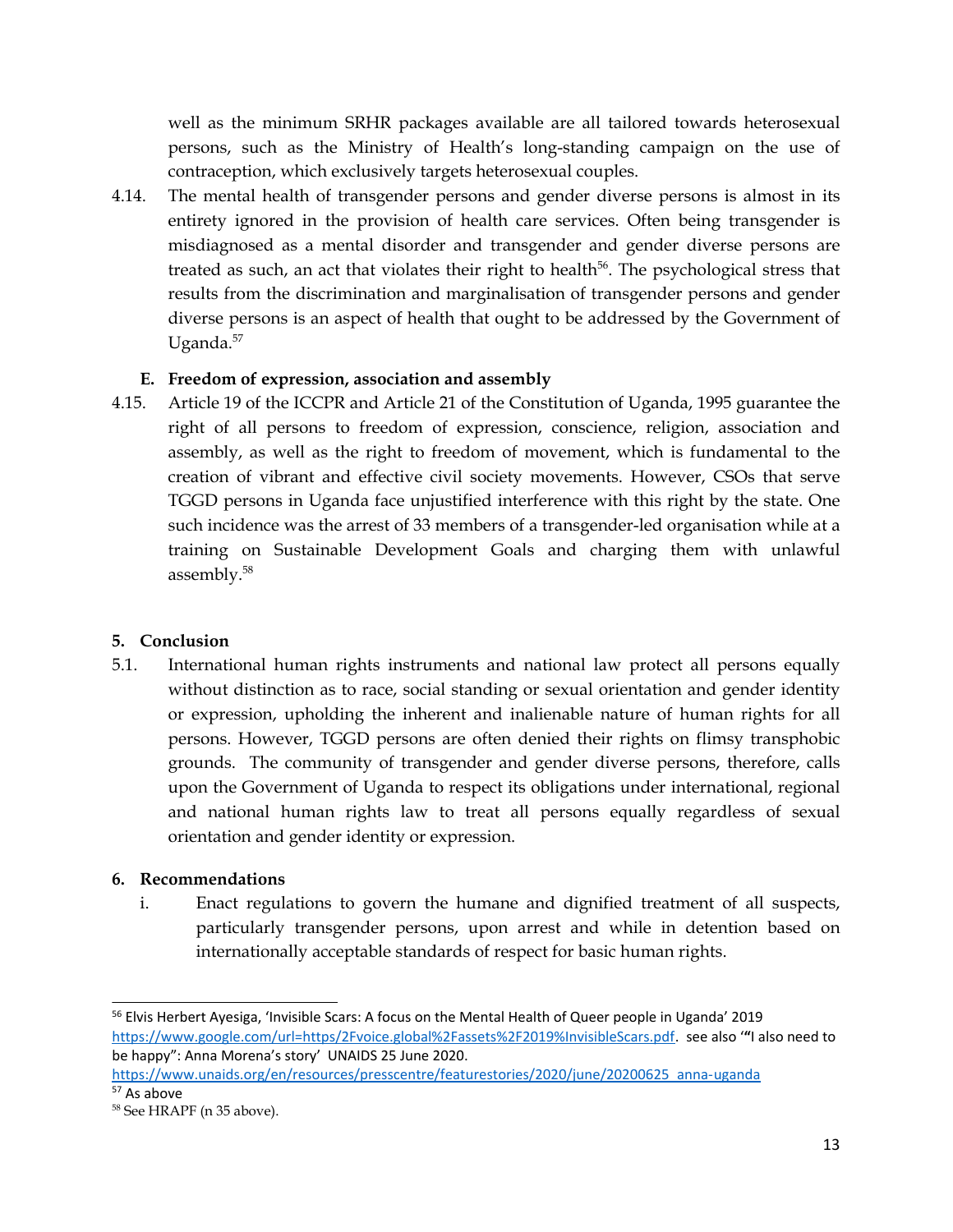<span id="page-12-0"></span>well as the minimum SRHR packages available are all tailored towards heterosexual persons, such as the Ministry of Health'<sup>s</sup> long-standing campaign on the use of contraception, which exclusively targets heterosexual couples.

4.14. The mental health of transgender persons and gender diverse persons is almost in its entirety ignored in the provision of health care services. Often being transgender is misdiagnosed as <sup>a</sup> mental disorder and transgender and gender diverse persons are treated as such, an act that violates their right to health<sup>56</sup>. The psychological stress that results from the discrimination and marginalisation of transgender persons and gender diverse persons is an aspec<sup>t</sup> of health that ought to be addressed by the Government of Uganda. 57

## **E. Freedom of expression, association and assembly**

4.15. Article 19 of the ICCPR and Article <sup>21</sup> of the Constitution of Uganda, 1995 guarantee the right of all persons to freedom of expression, conscience, religion, association and assembly, as well as the right to freedom of movement, which is fundamental to the creation of vibrant and effective civil society movements. However, CSOs that serve TGGD persons in Uganda face unjustified interference with this right by the state. One such incidence was the arrest of 33 members of <sup>a</sup> transgender-led organisation while at <sup>a</sup> training on Sustainable Development Goals and charging them with unlawful assembly. 58

## **5. Conclusion**

5.1. International human rights instruments and national law protect all persons equally without distinction as to race, social standing or sexual orientation and gender identity or expression, upholding the inherent and inalienable nature of human rights for all persons. However, TGGD persons are often denied their rights on flimsy transphobic grounds. The community of transgender and gender diverse persons, therefore, calls upon the Government of Uganda to respec<sup>t</sup> its obligations under international, regional and national human rights law to treat all persons equally regardless of sexual orientation and gender identity or expression.

## **6. Recommendations**

i. Enact regulations to govern the humane and dignified treatment of all suspects, particularly transgender persons, upon arrest and while in detention based on internationally acceptable standards of respec<sup>t</sup> for basic human rights.

<sup>&</sup>lt;sup>56</sup> Elvis Herbert Ayesiga, 'Invisible Scars: A focus on the Mental Health of Queer people in Uganda' 2019 [https://www.google.com/url=https/2Fvoice.global%2Fassets%2F2019%InvisibleScars.pdf](https://www.google.com/url=https/2Fvoice.global%2Fassets%2F2019%25InvisibleScars.pdf). see also '**"**I also need to be happy": Anna Morena'<sup>s</sup> story' UNAIDS 25 June 2020.

[https://www.unaids.org/en/resources/presscentre/featurestories/2020/june/20200625\\_anna-uganda](https://www.unaids.org/en/resources/presscentre/featurestories/2020/june/20200625_anna-uganda) <sup>57</sup> As above

<sup>&</sup>lt;sup>58</sup> See HRAPF (n 35 above).